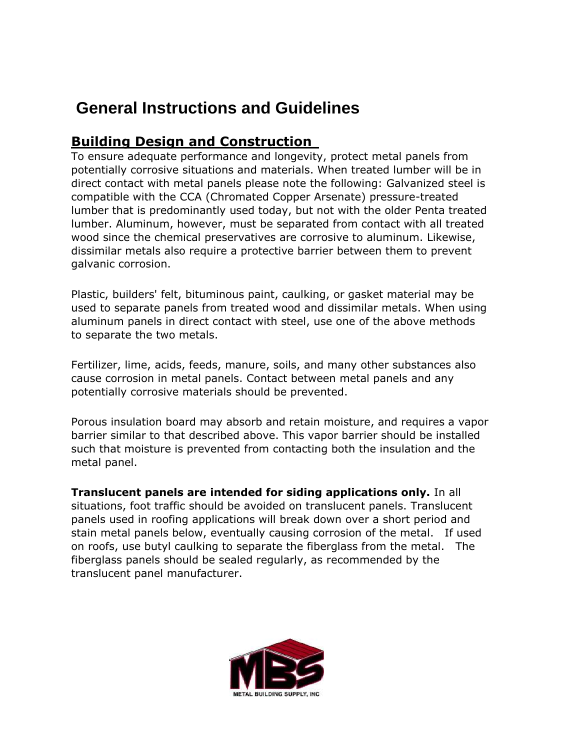# **General Instructions and Guidelines**

#### **Building Design and Construction**

To ensure adequate performance and longevity, protect metal panels from potentially corrosive situations and materials. When treated lumber will be in direct contact with metal panels please note the following: Galvanized steel is compatible with the CCA (Chromated Copper Arsenate) pressure-treated lumber that is predominantly used today, but not with the older Penta treated lumber. Aluminum, however, must be separated from contact with all treated wood since the chemical preservatives are corrosive to aluminum. Likewise, dissimilar metals also require a protective barrier between them to prevent galvanic corrosion.

Plastic, builders' felt, bituminous paint, caulking, or gasket material may be used to separate panels from treated wood and dissimilar metals. When using aluminum panels in direct contact with steel, use one of the above methods to separate the two metals.

Fertilizer, lime, acids, feeds, manure, soils, and many other substances also cause corrosion in metal panels. Contact between metal panels and any potentially corrosive materials should be prevented.

Porous insulation board may absorb and retain moisture, and requires a vapor barrier similar to that described above. This vapor barrier should be installed such that moisture is prevented from contacting both the insulation and the metal panel.

**Translucent panels are intended for siding applications only.** In all situations, foot traffic should be avoided on translucent panels. Translucent panels used in roofing applications will break down over a short period and stain metal panels below, eventually causing corrosion of the metal. If used on roofs, use butyl caulking to separate the fiberglass from the metal. The fiberglass panels should be sealed regularly, as recommended by the translucent panel manufacturer.

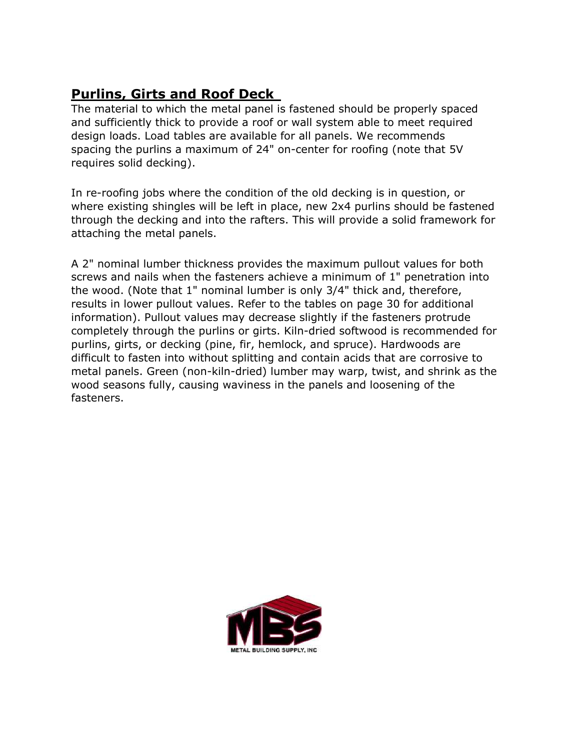# **Purlins, Girts and Roof Deck**

The material to which the metal panel is fastened should be properly spaced and sufficiently thick to provide a roof or wall system able to meet required design loads. Load tables are available for all panels. We recommends spacing the purlins a maximum of 24" on-center for roofing (note that 5V requires solid decking).

In re-roofing jobs where the condition of the old decking is in question, or where existing shingles will be left in place, new 2x4 purlins should be fastened through the decking and into the rafters. This will provide a solid framework for attaching the metal panels.

A 2" nominal lumber thickness provides the maximum pullout values for both screws and nails when the fasteners achieve a minimum of 1" penetration into the wood. (Note that 1" nominal lumber is only 3/4" thick and, therefore, results in lower pullout values. Refer to the tables on page 30 for additional information). Pullout values may decrease slightly if the fasteners protrude completely through the purlins or girts. Kiln-dried softwood is recommended for purlins, girts, or decking (pine, fir, hemlock, and spruce). Hardwoods are difficult to fasten into without splitting and contain acids that are corrosive to metal panels. Green (non-kiln-dried) lumber may warp, twist, and shrink as the wood seasons fully, causing waviness in the panels and loosening of the fasteners.

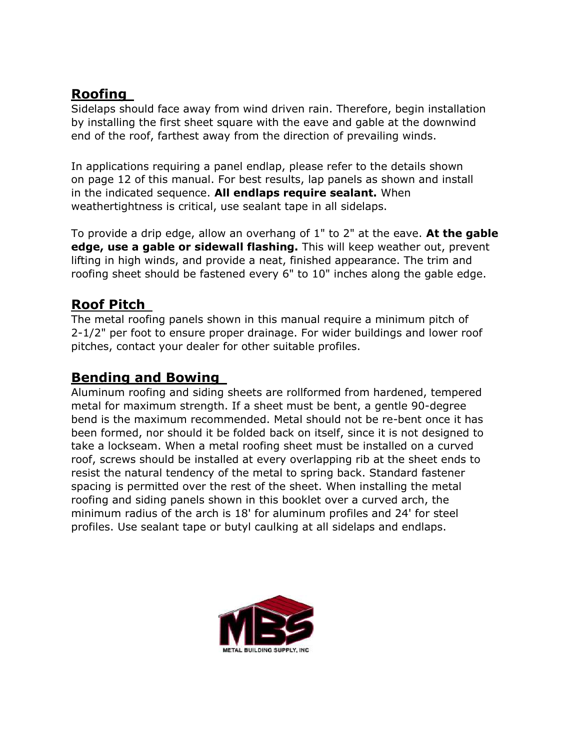## **Roofing**

Sidelaps should face away from wind driven rain. Therefore, begin installation by installing the first sheet square with the eave and gable at the downwind end of the roof, farthest away from the direction of prevailing winds.

In applications requiring a panel endlap, please refer to the details shown on page 12 of this manual. For best results, lap panels as shown and install in the indicated sequence. **All endlaps require sealant.** When weathertightness is critical, use sealant tape in all sidelaps.

To provide a drip edge, allow an overhang of 1" to 2" at the eave. **At the gable edge, use a gable or sidewall flashing.** This will keep weather out, prevent lifting in high winds, and provide a neat, finished appearance. The trim and roofing sheet should be fastened every 6" to 10" inches along the gable edge.

#### **Roof Pitch**

The metal roofing panels shown in this manual require a minimum pitch of 2-1/2" per foot to ensure proper drainage. For wider buildings and lower roof pitches, contact your dealer for other suitable profiles.

#### **Bending and Bowing**

Aluminum roofing and siding sheets are rollformed from hardened, tempered metal for maximum strength. If a sheet must be bent, a gentle 90-degree bend is the maximum recommended. Metal should not be re-bent once it has been formed, nor should it be folded back on itself, since it is not designed to take a lockseam. When a metal roofing sheet must be installed on a curved roof, screws should be installed at every overlapping rib at the sheet ends to resist the natural tendency of the metal to spring back. Standard fastener spacing is permitted over the rest of the sheet. When installing the metal roofing and siding panels shown in this booklet over a curved arch, the minimum radius of the arch is 18' for aluminum profiles and 24' for steel profiles. Use sealant tape or butyl caulking at all sidelaps and endlaps.

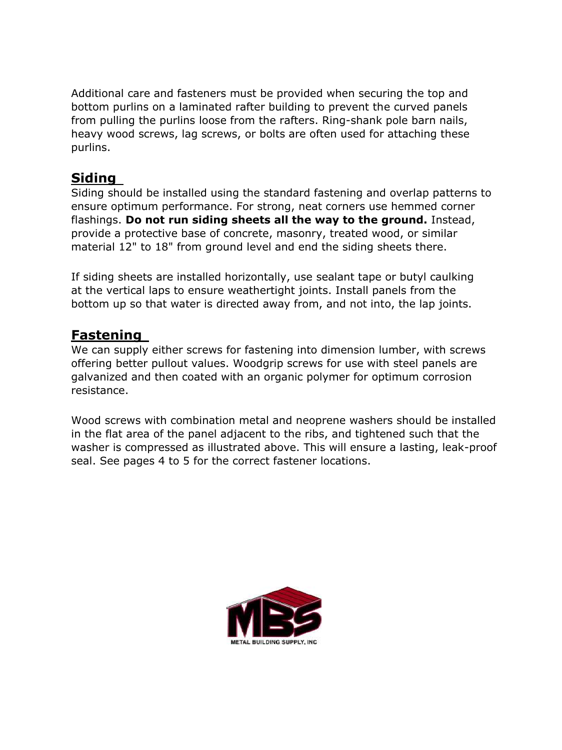Additional care and fasteners must be provided when securing the top and bottom purlins on a laminated rafter building to prevent the curved panels from pulling the purlins loose from the rafters. Ring-shank pole barn nails, heavy wood screws, lag screws, or bolts are often used for attaching these purlins.

## **Siding**

Siding should be installed using the standard fastening and overlap patterns to ensure optimum performance. For strong, neat corners use hemmed corner flashings. **Do not run siding sheets all the way to the ground.** Instead, provide a protective base of concrete, masonry, treated wood, or similar material 12" to 18" from ground level and end the siding sheets there.

If siding sheets are installed horizontally, use sealant tape or butyl caulking at the vertical laps to ensure weathertight joints. Install panels from the bottom up so that water is directed away from, and not into, the lap joints.

## **Fastening**

We can supply either screws for fastening into dimension lumber, with screws offering better pullout values. Woodgrip screws for use with steel panels are galvanized and then coated with an organic polymer for optimum corrosion resistance.

Wood screws with combination metal and neoprene washers should be installed in the flat area of the panel adjacent to the ribs, and tightened such that the washer is compressed as illustrated above. This will ensure a lasting, leak-proof seal. See pages 4 to 5 for the correct fastener locations.

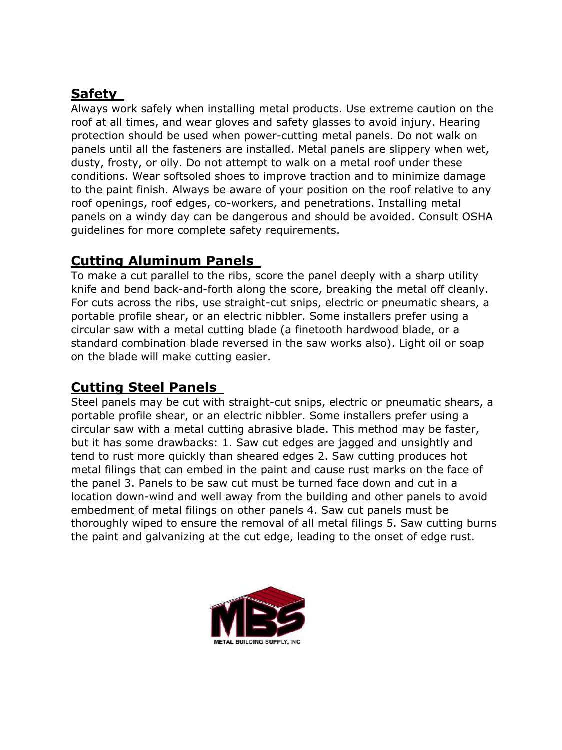# **Safety**

Always work safely when installing metal products. Use extreme caution on the roof at all times, and wear gloves and safety glasses to avoid injury. Hearing protection should be used when power-cutting metal panels. Do not walk on panels until all the fasteners are installed. Metal panels are slippery when wet, dusty, frosty, or oily. Do not attempt to walk on a metal roof under these conditions. Wear softsoled shoes to improve traction and to minimize damage to the paint finish. Always be aware of your position on the roof relative to any roof openings, roof edges, co-workers, and penetrations. Installing metal panels on a windy day can be dangerous and should be avoided. Consult OSHA guidelines for more complete safety requirements.

# **Cutting Aluminum Panels**

To make a cut parallel to the ribs, score the panel deeply with a sharp utility knife and bend back-and-forth along the score, breaking the metal off cleanly. For cuts across the ribs, use straight-cut snips, electric or pneumatic shears, a portable profile shear, or an electric nibbler. Some installers prefer using a circular saw with a metal cutting blade (a finetooth hardwood blade, or a standard combination blade reversed in the saw works also). Light oil or soap on the blade will make cutting easier.

#### **Cutting Steel Panels**

Steel panels may be cut with straight-cut snips, electric or pneumatic shears, a portable profile shear, or an electric nibbler. Some installers prefer using a circular saw with a metal cutting abrasive blade. This method may be faster, but it has some drawbacks: 1. Saw cut edges are jagged and unsightly and tend to rust more quickly than sheared edges 2. Saw cutting produces hot metal filings that can embed in the paint and cause rust marks on the face of the panel 3. Panels to be saw cut must be turned face down and cut in a location down-wind and well away from the building and other panels to avoid embedment of metal filings on other panels 4. Saw cut panels must be thoroughly wiped to ensure the removal of all metal filings 5. Saw cutting burns the paint and galvanizing at the cut edge, leading to the onset of edge rust.